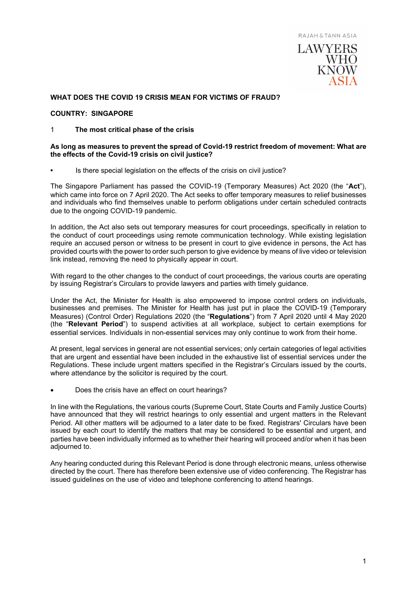

# **WHAT DOES THE COVID 19 CRISIS MEAN FOR VICTIMS OF FRAUD?**

## **COUNTRY: SINGAPORE**

## 1 **The most critical phase of the crisis**

#### **As long as measures to prevent the spread of Covid-19 restrict freedom of movement: What are the effects of the Covid-19 crisis on civil justice?**

**•** Is there special legislation on the effects of the crisis on civil justice?

The Singapore Parliament has passed the COVID-19 (Temporary Measures) Act 2020 (the "**Act**"), which came into force on 7 April 2020. The Act seeks to offer temporary measures to relief businesses and individuals who find themselves unable to perform obligations under certain scheduled contracts due to the ongoing COVID-19 pandemic.

In addition, the Act also sets out temporary measures for court proceedings, specifically in relation to the conduct of court proceedings using remote communication technology. While existing legislation require an accused person or witness to be present in court to give evidence in persons, the Act has provided courts with the power to order such person to give evidence by means of live video or television link instead, removing the need to physically appear in court.

With regard to the other changes to the conduct of court proceedings, the various courts are operating by issuing Registrar's Circulars to provide lawyers and parties with timely guidance.

Under the Act, the Minister for Health is also empowered to impose control orders on individuals, businesses and premises. The Minister for Health has just put in place the COVID-19 (Temporary Measures) (Control Order) Regulations 2020 (the "**Regulations**") from 7 April 2020 until 4 May 2020 (the "**Relevant Period**") to suspend activities at all workplace, subject to certain exemptions for essential services. Individuals in non-essential services may only continue to work from their home.

At present, legal services in general are not essential services; only certain categories of legal activities that are urgent and essential have been included in the exhaustive list of essential services under the Regulations. These include urgent matters specified in the Registrar's Circulars issued by the courts, where attendance by the solicitor is required by the court.

• Does the crisis have an effect on court hearings?

In line with the Regulations, the various courts (Supreme Court, State Courts and Family Justice Courts) have announced that they will restrict hearings to only essential and urgent matters in the Relevant Period. All other matters will be adjourned to a later date to be fixed. Registrars' Circulars have been issued by each court to identify the matters that may be considered to be essential and urgent, and parties have been individually informed as to whether their hearing will proceed and/or when it has been adjourned to.

Any hearing conducted during this Relevant Period is done through electronic means, unless otherwise directed by the court. There has therefore been extensive use of video conferencing. The Registrar has issued guidelines on the use of video and telephone conferencing to attend hearings.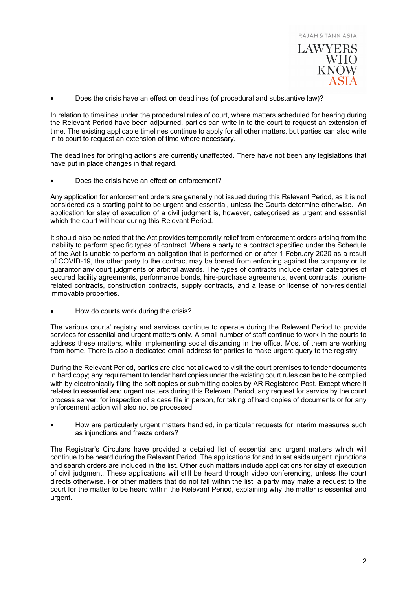

• Does the crisis have an effect on deadlines (of procedural and substantive law)?

In relation to timelines under the procedural rules of court, where matters scheduled for hearing during the Relevant Period have been adjourned, parties can write in to the court to request an extension of time. The existing applicable timelines continue to apply for all other matters, but parties can also write in to court to request an extension of time where necessary.

The deadlines for bringing actions are currently unaffected. There have not been any legislations that have put in place changes in that regard.

• Does the crisis have an effect on enforcement?

Any application for enforcement orders are generally not issued during this Relevant Period, as it is not considered as a starting point to be urgent and essential, unless the Courts determine otherwise. An application for stay of execution of a civil judgment is, however, categorised as urgent and essential which the court will hear during this Relevant Period.

It should also be noted that the Act provides temporarily relief from enforcement orders arising from the inability to perform specific types of contract. Where a party to a contract specified under the Schedule of the Act is unable to perform an obligation that is performed on or after 1 February 2020 as a result of COVID-19, the other party to the contract may be barred from enforcing against the company or its guarantor any court judgments or arbitral awards. The types of contracts include certain categories of secured facility agreements, performance bonds, hire-purchase agreements, event contracts, tourismrelated contracts, construction contracts, supply contracts, and a lease or license of non-residential immovable properties.

• How do courts work during the crisis?

The various courts' registry and services continue to operate during the Relevant Period to provide services for essential and urgent matters only. A small number of staff continue to work in the courts to address these matters, while implementing social distancing in the office. Most of them are working from home. There is also a dedicated email address for parties to make urgent query to the registry.

During the Relevant Period, parties are also not allowed to visit the court premises to tender documents in hard copy; any requirement to tender hard copies under the existing court rules can be to be complied with by electronically filing the soft copies or submitting copies by AR Registered Post. Except where it relates to essential and urgent matters during this Relevant Period, any request for service by the court process server, for inspection of a case file in person, for taking of hard copies of documents or for any enforcement action will also not be processed.

• How are particularly urgent matters handled, in particular requests for interim measures such as injunctions and freeze orders?

The Registrar's Circulars have provided a detailed list of essential and urgent matters which will continue to be heard during the Relevant Period. The applications for and to set aside urgent injunctions and search orders are included in the list. Other such matters include applications for stay of execution of civil judgment. These applications will still be heard through video conferencing, unless the court directs otherwise. For other matters that do not fall within the list, a party may make a request to the court for the matter to be heard within the Relevant Period, explaining why the matter is essential and urgent.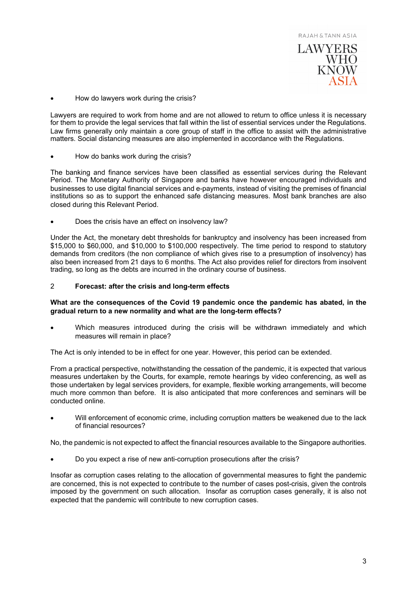

• How do lawyers work during the crisis?

Lawyers are required to work from home and are not allowed to return to office unless it is necessary for them to provide the legal services that fall within the list of essential services under the Regulations. Law firms generally only maintain a core group of staff in the office to assist with the administrative matters. Social distancing measures are also implemented in accordance with the Regulations.

• How do banks work during the crisis?

The banking and finance services have been classified as essential services during the Relevant Period. The Monetary Authority of Singapore and banks have however encouraged individuals and businesses to use digital financial services and e-payments, instead of visiting the premises of financial institutions so as to support the enhanced safe distancing measures. Most bank branches are also closed during this Relevant Period.

• Does the crisis have an effect on insolvency law?

Under the Act, the monetary debt thresholds for bankruptcy and insolvency has been increased from \$15,000 to \$60,000, and \$10,000 to \$100,000 respectively. The time period to respond to statutory demands from creditors (the non compliance of which gives rise to a presumption of insolvency) has also been increased from 21 days to 6 months. The Act also provides relief for directors from insolvent trading, so long as the debts are incurred in the ordinary course of business.

# 2 **Forecast: after the crisis and long-term effects**

## **What are the consequences of the Covid 19 pandemic once the pandemic has abated, in the gradual return to a new normality and what are the long-term effects?**

Which measures introduced during the crisis will be withdrawn immediately and which measures will remain in place?

The Act is only intended to be in effect for one year. However, this period can be extended.

From a practical perspective, notwithstanding the cessation of the pandemic, it is expected that various measures undertaken by the Courts, for example, remote hearings by video conferencing, as well as those undertaken by legal services providers, for example, flexible working arrangements, will become much more common than before. It is also anticipated that more conferences and seminars will be conducted online.

• Will enforcement of economic crime, including corruption matters be weakened due to the lack of financial resources?

No, the pandemic is not expected to affect the financial resources available to the Singapore authorities.

• Do you expect a rise of new anti-corruption prosecutions after the crisis?

Insofar as corruption cases relating to the allocation of governmental measures to fight the pandemic are concerned, this is not expected to contribute to the number of cases post-crisis, given the controls imposed by the government on such allocation. Insofar as corruption cases generally, it is also not expected that the pandemic will contribute to new corruption cases.